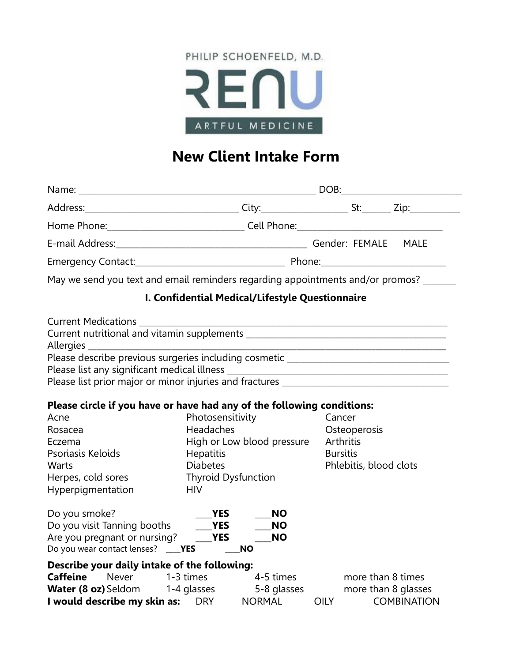

# **New Client Intake Form**

|             | E-mail Address: MALE MALE MALE MALE                                                   |  |  |  |
|-------------|---------------------------------------------------------------------------------------|--|--|--|
|             |                                                                                       |  |  |  |
|             | May we send you text and email reminders regarding appointments and/or promos? ______ |  |  |  |
|             | I. Confidential Medical/Lifestyle Questionnaire                                       |  |  |  |
|             |                                                                                       |  |  |  |
|             |                                                                                       |  |  |  |
|             |                                                                                       |  |  |  |
|             | Please list prior major or minor injuries and fractures _________________________     |  |  |  |
|             | Please circle if you have or have had any of the following conditions:                |  |  |  |
| Acne        | Photosensitivity Cancer                                                               |  |  |  |
| $D^{\circ}$ | Hoodeches Csteenersis                                                                 |  |  |  |

| Rosacea                                      | Headaches                   |             | Osteoperosis           |
|----------------------------------------------|-----------------------------|-------------|------------------------|
| Eczema                                       | High or Low blood pressure  |             | Arthritis              |
| Psoriasis Keloids                            | <b>Hepatitis</b>            |             | <b>Bursitis</b>        |
| Warts                                        | <b>Diabetes</b>             |             | Phlebitis, blood clots |
| Herpes, cold sores                           | <b>Thyroid Dysfunction</b>  |             |                        |
| Hyperpigmentation                            | <b>HIV</b>                  |             |                        |
| Do you smoke?                                | YES                         | <b>NO</b>   |                        |
| Do you visit Tanning booths                  | <b>YES</b>                  | <b>NO</b>   |                        |
| Are you pregnant or nursing?                 | <b>YES</b>                  | <b>NO</b>   |                        |
| Do you wear contact lenses?                  | <b>NO</b><br><b>EXAMPLE</b> |             |                        |
| Describe your daily intake of the following: |                             |             |                        |
| <b>Caffeine</b><br>Never                     | 1-3 times                   | 4-5 times   | more than 8 times      |
| <b>Water (8 oz)</b> Seldom                   | 1-4 glasses                 | 5-8 glasses | more than 8 glasses    |

**I would describe my skin as:** DRY MORMAL OILY COMBINATION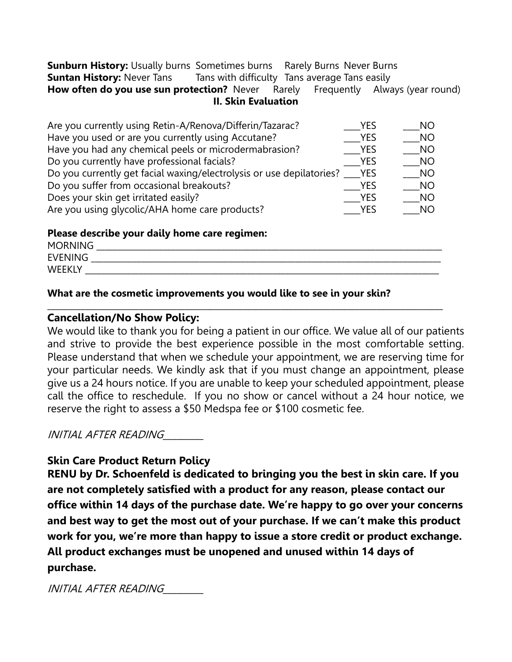**Sunburn History:** Usually burns Sometimes burns Rarely Burns Never Burns **Suntan History:** Never Tans Tans with difficulty Tans average Tans easily **How often do you use sun protection?** Never Rarely Frequently Always (year round) **II. Skin Evaluation**

| Are you currently using Retin-A/Renova/Differin/Tazarac?             | <b>YES</b> | NO.       |
|----------------------------------------------------------------------|------------|-----------|
| Have you used or are you currently using Accutane?                   | <b>YES</b> | <b>NO</b> |
| Have you had any chemical peels or microdermabrasion?                | <b>YES</b> | <b>NO</b> |
| Do you currently have professional facials?                          | <b>YES</b> | <b>NO</b> |
| Do you currently get facial waxing/electrolysis or use depilatories? | <b>YES</b> | <b>NO</b> |
| Do you suffer from occasional breakouts?                             | <b>YES</b> | NO        |
| Does your skin get irritated easily?                                 | YES        | NO        |
| Are you using glycolic/AHA home care products?                       | YES        | NO        |

#### **Please describe your daily home care regimen:**

| <b>MORNING</b>    |  |
|-------------------|--|
| <b>EVENING</b>    |  |
| WEEK <sub>1</sub> |  |

\_\_\_\_\_\_\_\_\_\_\_\_\_\_\_\_\_\_\_\_\_\_\_\_\_\_\_\_\_\_\_\_\_\_\_\_\_\_\_\_\_\_\_\_\_\_\_\_\_\_\_\_\_\_\_\_\_\_\_\_\_\_\_\_\_\_\_\_\_\_\_\_\_\_\_\_\_\_\_\_\_\_\_\_\_\_\_\_\_\_\_\_\_\_\_

## **What are the cosmetic improvements you would like to see in your skin?**

#### **Cancellation/No Show Policy:**

We would like to thank you for being a patient in our office. We value all of our patients and strive to provide the best experience possible in the most comfortable setting. Please understand that when we schedule your appointment, we are reserving time for your particular needs. We kindly ask that if you must change an appointment, please give us a 24 hours notice. If you are unable to keep your scheduled appointment, please call the office to reschedule. If you no show or cancel without a 24 hour notice, we reserve the right to assess a \$50 Medspa fee or \$100 cosmetic fee.

INITIAL AFTER READING\_\_\_\_\_\_\_\_\_

## **Skin Care Product Return Policy**

**RENU by Dr. Schoenfeld is dedicated to bringing you the best in skin care. If you are not completely satisfied with a product for any reason, please contact our office within 14 days of the purchase date. We're happy to go over your concerns and best way to get the most out of your purchase. If we can't make this product work for you, we're more than happy to issue a store credit or product exchange. All product exchanges must be unopened and unused within 14 days of purchase.**

INITIAL AFTER READING\_\_\_\_\_\_\_\_\_